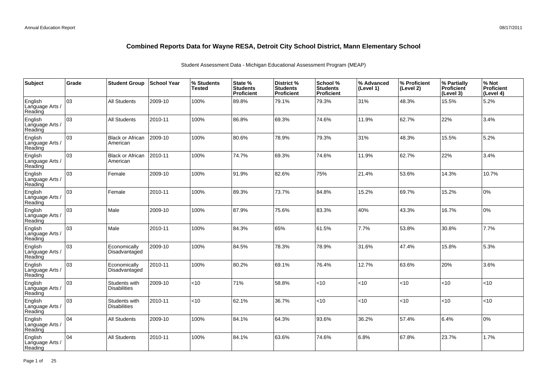| Subject                               | Grade | <b>Student Group</b>                 | <b>School Year</b> | % Students<br>Tested | State %<br><b>Students</b><br>Proficient | District %<br><b>Students</b><br><b>Proficient</b> | School %<br><b>Students</b><br><b>Proficient</b> | % Advanced<br>(Level 1) | ∣% Proficient<br>(Level 2) | % Partially<br>Proficient<br>(Level 3) | % Not<br>Proficient<br>(Level 4) |
|---------------------------------------|-------|--------------------------------------|--------------------|----------------------|------------------------------------------|----------------------------------------------------|--------------------------------------------------|-------------------------|----------------------------|----------------------------------------|----------------------------------|
| English<br>Language Arts /<br>Reading | 03    | <b>All Students</b>                  | 2009-10            | 100%                 | 89.8%                                    | 79.1%                                              | 79.3%                                            | 31%                     | 48.3%                      | 15.5%                                  | 5.2%                             |
| English<br>Language Arts /<br>Reading | 03    | <b>All Students</b>                  | 2010-11            | 100%                 | 86.8%                                    | 69.3%                                              | 74.6%                                            | 11.9%                   | 62.7%                      | 22%                                    | 3.4%                             |
| English<br>Language Arts /<br>Reading | 03    | <b>Black or African</b><br>American  | 2009-10            | 100%                 | 80.6%                                    | 78.9%                                              | 79.3%                                            | 31%                     | 48.3%                      | 15.5%                                  | 5.2%                             |
| English<br>Language Arts /<br>Reading | lo3   | <b>Black or African</b><br>American  | 2010-11            | 100%                 | 74.7%                                    | 69.3%                                              | 74.6%                                            | 11.9%                   | 62.7%                      | 22%                                    | 3.4%                             |
| English<br>Language Arts /<br>Reading | 03    | Female                               | 2009-10            | 100%                 | 91.9%                                    | 82.6%                                              | 75%                                              | 21.4%                   | 53.6%                      | 14.3%                                  | 10.7%                            |
| English<br>Language Arts /<br>Reading | 03    | Female                               | 2010-11            | 100%                 | 89.3%                                    | 73.7%                                              | 84.8%                                            | 15.2%                   | 69.7%                      | 15.2%                                  | 0%                               |
| English<br>Language Arts /<br>Reading | 03    | Male                                 | 2009-10            | 100%                 | 87.9%                                    | 75.6%                                              | 83.3%                                            | 40%                     | 43.3%                      | 16.7%                                  | 0%                               |
| English<br>Language Arts /<br>Reading | 03    | Male                                 | 2010-11            | 100%                 | 84.3%                                    | 65%                                                | 61.5%                                            | 7.7%                    | 53.8%                      | 30.8%                                  | 7.7%                             |
| English<br>Language Arts<br>Reading   | 03    | Economically<br>Disadvantaged        | 2009-10            | 100%                 | 84.5%                                    | 78.3%                                              | 78.9%                                            | 31.6%                   | 47.4%                      | 15.8%                                  | 5.3%                             |
| English<br>Language Arts<br>Reading   | 03    | Economically<br>Disadvantaged        | 2010-11            | 100%                 | 80.2%                                    | 69.1%                                              | 76.4%                                            | 12.7%                   | 63.6%                      | 20%                                    | 3.6%                             |
| English<br>Language Arts /<br>Reading | 03    | Students with<br><b>Disabilities</b> | 2009-10            | <10                  | 71%                                      | 58.8%                                              | <10                                              | < 10                    | < 10                       | 10                                     | <10                              |
| English<br>Language Arts<br>Reading   | 03    | Students with<br><b>Disabilities</b> | 2010-11            | <10                  | 62.1%                                    | 36.7%                                              | <10                                              | < 10                    | < 10                       | <10                                    | <10                              |
| English<br>Language Arts /<br>Reading | 04    | <b>All Students</b>                  | 2009-10            | 100%                 | 84.1%                                    | 64.3%                                              | 93.6%                                            | 36.2%                   | 57.4%                      | 6.4%                                   | 0%                               |
| English<br>Language Arts<br>Reading   | 04    | <b>All Students</b>                  | 2010-11            | 100%                 | 84.1%                                    | 63.6%                                              | 74.6%                                            | 6.8%                    | 67.8%                      | 23.7%                                  | 1.7%                             |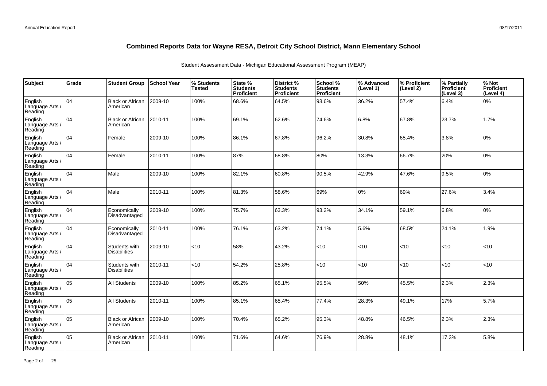| Subject                               | Grade | <b>Student Group</b>                 | ∣School Year | % Students<br>Tested | State %<br><b>Students</b><br>Proficient | District %<br><b>Students</b><br>Proficient | School %<br><b>Students</b><br><b>Proficient</b> | % Advanced<br>(Level 1) | % Proficient<br>(Level 2) | % Partially<br>Proficient<br>(Level 3) | % Not<br>Proficient<br>(Level 4) |
|---------------------------------------|-------|--------------------------------------|--------------|----------------------|------------------------------------------|---------------------------------------------|--------------------------------------------------|-------------------------|---------------------------|----------------------------------------|----------------------------------|
| English<br>Language Arts /<br>Reading | 04    | <b>Black or African</b><br>American  | 2009-10      | 100%                 | 68.6%                                    | 64.5%                                       | 93.6%                                            | 36.2%                   | 57.4%                     | 6.4%                                   | 0%                               |
| English<br>Language Arts /<br>Reading | 04    | <b>Black or African</b><br>American  | 2010-11      | 100%                 | 69.1%                                    | 62.6%                                       | 74.6%                                            | 6.8%                    | 67.8%                     | 23.7%                                  | 1.7%                             |
| English<br>Language Arts /<br>Reading | 04    | Female                               | 2009-10      | 100%                 | 86.1%                                    | 67.8%                                       | 96.2%                                            | 30.8%                   | 65.4%                     | 3.8%                                   | 0%                               |
| English<br>Language Arts /<br>Reading | 04    | Female                               | 2010-11      | 100%                 | 87%                                      | 68.8%                                       | 80%                                              | 13.3%                   | 66.7%                     | 20%                                    | 0%                               |
| English<br>Language Arts /<br>Reading | 04    | Male                                 | 2009-10      | 100%                 | 82.1%                                    | 60.8%                                       | 90.5%                                            | 42.9%                   | 47.6%                     | 9.5%                                   | 0%                               |
| English<br>Language Arts /<br>Reading | 04    | Male                                 | 2010-11      | 100%                 | 81.3%                                    | 58.6%                                       | 69%                                              | 0%                      | 69%                       | 27.6%                                  | 3.4%                             |
| English<br>Language Arts /<br>Reading | 04    | Economically<br>Disadvantaged        | 2009-10      | 100%                 | 75.7%                                    | 63.3%                                       | 93.2%                                            | 34.1%                   | 59.1%                     | 6.8%                                   | 0%                               |
| English<br>Language Arts<br>Reading   | 04    | Economically<br>Disadvantaged        | 2010-11      | 100%                 | 76.1%                                    | 63.2%                                       | 74.1%                                            | 5.6%                    | 68.5%                     | 24.1%                                  | 1.9%                             |
| English<br>Language Arts<br>Reading   | 04    | Students with<br><b>Disabilities</b> | 2009-10      | <10                  | 58%                                      | 43.2%                                       | < 10                                             | <10                     | < 10                      | < 10                                   | <10                              |
| English<br>Language Arts<br>Reading   | 04    | Students with<br><b>Disabilities</b> | 2010-11      | <10                  | 54.2%                                    | 25.8%                                       | <10                                              | <10                     | <10                       | < 10                                   | <10                              |
| English<br>Language Arts<br>Reading   | lo5   | All Students                         | 2009-10      | 100%                 | 85.2%                                    | 65.1%                                       | 95.5%                                            | 50%                     | 45.5%                     | 2.3%                                   | 2.3%                             |
| English<br>Language Arts<br>Reading   | 05    | <b>All Students</b>                  | 2010-11      | 100%                 | 85.1%                                    | 65.4%                                       | 77.4%                                            | 28.3%                   | 49.1%                     | 17%                                    | 5.7%                             |
| English<br>Language Arts<br>Reading   | 05    | <b>Black or African</b><br>American  | 2009-10      | 100%                 | 70.4%                                    | 65.2%                                       | 95.3%                                            | 48.8%                   | 46.5%                     | 2.3%                                   | 2.3%                             |
| English<br>Language Arts<br>Reading   | 05    | <b>Black or African</b><br>American  | 2010-11      | 100%                 | 71.6%                                    | 64.6%                                       | 76.9%                                            | 28.8%                   | 48.1%                     | 17.3%                                  | 5.8%                             |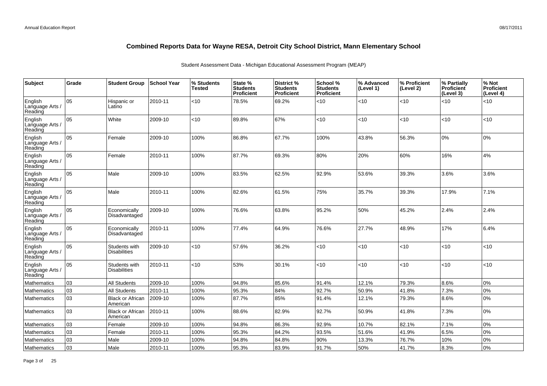| Subject                               | Grade | <b>Student Group</b>                 | School Year | % Students<br><b>Tested</b> | State %<br><b>Students</b><br>Proficient | District %<br><b>Students</b><br>Proficient | School %<br><b>Students</b><br><b>Proficient</b> | % Advanced<br>(Level 1) | % Proficient<br>(Level 2) | % Partially<br>Proficient<br>(Level 3) | % Not<br>Proficient<br>(Level 4) |
|---------------------------------------|-------|--------------------------------------|-------------|-----------------------------|------------------------------------------|---------------------------------------------|--------------------------------------------------|-------------------------|---------------------------|----------------------------------------|----------------------------------|
| English<br>Language Arts<br>Reading   | 05    | Hispanic or<br>Latino                | 2010-11     | <10                         | 78.5%                                    | 69.2%                                       | < 10                                             | <10                     | <10                       | < 10                                   | <10                              |
| English<br>Language Arts /<br>Reading | 05    | White                                | 2009-10     | <10                         | 89.8%                                    | 67%                                         | <10                                              | <10                     | <10                       | < 10                                   | <10                              |
| English<br>Language Arts /<br>Reading | 05    | Female                               | 2009-10     | 100%                        | 86.8%                                    | 67.7%                                       | 100%                                             | 43.8%                   | 56.3%                     | 10%                                    | 0%                               |
| English<br>Language Arts<br>Reading   | 05    | Female                               | 2010-11     | 100%                        | 87.7%                                    | 69.3%                                       | 80%                                              | 20%                     | 60%                       | 16%                                    | 4%                               |
| English<br>Language Arts<br>Reading   | 05    | Male                                 | 2009-10     | 100%                        | 83.5%                                    | 62.5%                                       | 92.9%                                            | 53.6%                   | 39.3%                     | 3.6%                                   | 3.6%                             |
| English<br>Language Arts<br>Reading   | 05    | Male                                 | 2010-11     | 100%                        | 82.6%                                    | 61.5%                                       | 75%                                              | 35.7%                   | 39.3%                     | 17.9%                                  | 7.1%                             |
| English<br>Language Arts<br>Reading   | 05    | Economically<br>Disadvantaged        | 2009-10     | 100%                        | 76.6%                                    | 63.8%                                       | 95.2%                                            | 50%                     | 45.2%                     | 2.4%                                   | 2.4%                             |
| English<br>Language Arts<br>Reading   | 05    | Economically<br>Disadvantaged        | 2010-11     | 100%                        | 77.4%                                    | 64.9%                                       | 76.6%                                            | 27.7%                   | 48.9%                     | 17%                                    | 6.4%                             |
| English<br>Language Arts /<br>Reading | 05    | Students with<br><b>Disabilities</b> | 2009-10     | < 10                        | 57.6%                                    | 36.2%                                       | <10                                              | <10                     | <10                       | <10                                    | <10                              |
| English<br>Language Arts /<br>Reading | 05    | Students with<br><b>Disabilities</b> | 2010-11     | <10                         | 53%                                      | 30.1%                                       | <10                                              | <10                     | <10                       | <10                                    | <10                              |
| Mathematics                           | 03    | All Students                         | 2009-10     | 100%                        | 94.8%                                    | 85.6%                                       | 91.4%                                            | 12.1%                   | 79.3%                     | 8.6%                                   | 0%                               |
| Mathematics                           | 03    | <b>All Students</b>                  | 2010-11     | 100%                        | 95.3%                                    | 84%                                         | 92.7%                                            | 50.9%                   | 41.8%                     | 7.3%                                   | 0%                               |
| <b>Mathematics</b>                    | 03    | <b>Black or African</b><br>American  | 2009-10     | 100%                        | 87.7%                                    | 85%                                         | 91.4%                                            | 12.1%                   | 79.3%                     | 8.6%                                   | 0%                               |
| <b>Mathematics</b>                    | 03    | <b>Black or African</b><br>American  | 2010-11     | 100%                        | 88.6%                                    | 82.9%                                       | 92.7%                                            | 50.9%                   | 41.8%                     | 7.3%                                   | 0%                               |
| Mathematics                           | 03    | Female                               | 2009-10     | 100%                        | 94.8%                                    | 86.3%                                       | 92.9%                                            | 10.7%                   | 82.1%                     | 7.1%                                   | 0%                               |
| <b>Mathematics</b>                    | 03    | Female                               | 2010-11     | 100%                        | 95.3%                                    | 84.2%                                       | 93.5%                                            | 51.6%                   | 41.9%                     | 6.5%                                   | 0%                               |
| Mathematics                           | 03    | Male                                 | 2009-10     | 100%                        | 94.8%                                    | 84.8%                                       | 90%                                              | 13.3%                   | 76.7%                     | 10%                                    | 0%                               |
| Mathematics                           | 03    | Male                                 | 2010-11     | 100%                        | 95.3%                                    | 83.9%                                       | 91.7%                                            | 50%                     | 41.7%                     | 8.3%                                   | 0%                               |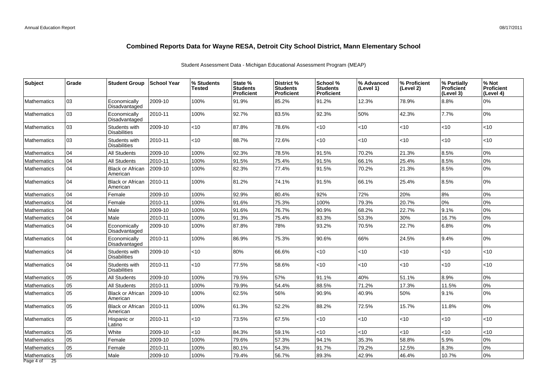| Subject                        | Grade | <b>Student Group</b>                 | <b>School Year</b> | % Students<br>Tested | State %<br><b>Students</b><br><b>Proficient</b> | District %<br><b>Students</b><br><b>Proficient</b> | School %<br><b>Students</b><br><b>Proficient</b> | % Advanced<br>(Level 1) | % Proficient<br>(Level 2) | % Partially<br><b>Proficient</b><br>(Level 3) | % Not<br>Proficient<br>(Level 4) |
|--------------------------------|-------|--------------------------------------|--------------------|----------------------|-------------------------------------------------|----------------------------------------------------|--------------------------------------------------|-------------------------|---------------------------|-----------------------------------------------|----------------------------------|
| Mathematics                    | 03    | Economically<br>Disadvantaged        | 2009-10            | 100%                 | 91.9%                                           | 85.2%                                              | 91.2%                                            | 12.3%                   | 78.9%                     | 8.8%                                          | 0%                               |
| Mathematics                    | 03    | Economically<br>Disadvantaged        | 2010-11            | 100%                 | 92.7%                                           | 83.5%                                              | 92.3%                                            | 50%                     | 42.3%                     | 7.7%                                          | 0%                               |
| Mathematics                    | 03    | Students with<br><b>Disabilities</b> | 2009-10            | $<$ 10               | 87.8%                                           | 78.6%                                              | < 10                                             | < 10                    | < 10                      | <10                                           | <10                              |
| <b>Mathematics</b>             | 03    | Students with<br><b>Disabilities</b> | 2010-11            | <10                  | 88.7%                                           | 72.6%                                              | $<$ 10                                           | < 10                    | < 10                      | <10                                           | <10                              |
| Mathematics                    | 04    | <b>All Students</b>                  | 2009-10            | 100%                 | 92.3%                                           | 78.5%                                              | 91.5%                                            | 70.2%                   | 21.3%                     | 8.5%                                          | 0%                               |
| Mathematics                    | 04    | All Students                         | 2010-11            | 100%                 | 91.5%                                           | 75.4%                                              | 91.5%                                            | 66.1%                   | 25.4%                     | 8.5%                                          | 0%                               |
| Mathematics                    | 04    | <b>Black or African</b><br>American  | 2009-10            | 100%                 | 82.3%                                           | 77.4%                                              | 91.5%                                            | 70.2%                   | 21.3%                     | 8.5%                                          | 0%                               |
| Mathematics                    | 04    | <b>Black or African</b><br>American  | 2010-11            | 100%                 | 81.2%                                           | 74.1%                                              | 91.5%                                            | 66.1%                   | 25.4%                     | 8.5%                                          | 0%                               |
| Mathematics                    | 104   | Female                               | 2009-10            | 100%                 | 92.9%                                           | 80.4%                                              | 92%                                              | 72%                     | 20%                       | 8%                                            | 0%                               |
| Mathematics                    | 04    | Female                               | 2010-11            | 100%                 | 91.6%                                           | 75.3%                                              | 100%                                             | 79.3%                   | 20.7%                     | 0%                                            | 0%                               |
| Mathematics                    | 04    | Male                                 | 2009-10            | 100%                 | 91.6%                                           | 76.7%                                              | 90.9%                                            | 68.2%                   | 22.7%                     | 9.1%                                          | 0%                               |
| Mathematics                    | 04    | Male                                 | 2010-11            | 100%                 | 91.3%                                           | 75.4%                                              | 83.3%                                            | 53.3%                   | 30%                       | 16.7%                                         | 0%                               |
| Mathematics                    | 04    | Economically<br>Disadvantaged        | 2009-10            | 100%                 | 87.8%                                           | 78%                                                | 93.2%                                            | 70.5%                   | 22.7%                     | 6.8%                                          | 0%                               |
| Mathematics                    | 04    | Economically<br>Disadvantaged        | 2010-11            | 100%                 | 86.9%                                           | 75.3%                                              | 90.6%                                            | 66%                     | 24.5%                     | 9.4%                                          | 0%                               |
| Mathematics                    | 04    | Students with<br><b>Disabilities</b> | 2009-10            | <10                  | 80%                                             | 66.6%                                              | <10                                              | <10                     | < 10                      | <10                                           | <10                              |
| Mathematics                    | 04    | Students with<br><b>Disabilities</b> | 2010-11            | $<$ 10               | 77.5%                                           | 58.6%                                              | <10                                              | $<$ 10                  | $<$ 10                    | <10                                           | <10                              |
| Mathematics                    | 05    | <b>All Students</b>                  | 2009-10            | 100%                 | 79.5%                                           | 57%                                                | 91.1%                                            | 40%                     | 51.1%                     | 8.9%                                          | 0%                               |
| Mathematics                    | 05    | All Students                         | 2010-11            | 100%                 | 79.9%                                           | 54.4%                                              | 88.5%                                            | 71.2%                   | 17.3%                     | 11.5%                                         | 0%                               |
| Mathematics                    | 05    | <b>Black or African</b><br>American  | 2009-10            | 100%                 | 62.5%                                           | 56%                                                | 90.9%                                            | 40.9%                   | 50%                       | 9.1%                                          | 0%                               |
| Mathematics                    | 05    | <b>Black or African</b><br>American  | 2010-11            | 100%                 | 61.3%                                           | 52.2%                                              | 88.2%                                            | 72.5%                   | 15.7%                     | 11.8%                                         | 0%                               |
| Mathematics                    | 05    | Hispanic or<br>Latino                | 2010-11            | <10                  | 73.5%                                           | 67.5%                                              | $<$ 10                                           | <10                     | $<$ 10                    | ~10                                           | <10                              |
| Mathematics                    | 05    | White                                | 2009-10            | <10                  | 84.3%                                           | 59.1%                                              | $<$ 10                                           | <10                     | < 10                      | $<10$                                         | <10                              |
| Mathematics                    | 05    | Female                               | 2009-10            | 100%                 | 79.6%                                           | 57.3%                                              | 94.1%                                            | 35.3%                   | 58.8%                     | 5.9%                                          | 0%                               |
| Mathematics                    | 05    | Female                               | 2010-11            | 100%                 | 80.1%                                           | 54.3%                                              | 91.7%                                            | 79.2%                   | 12.5%                     | 8.3%                                          | 0%                               |
| Mathematics<br>Page 4 of<br>25 | 05    | Male                                 | 2009-10            | 100%                 | 79.4%                                           | 56.7%                                              | 89.3%                                            | 42.9%                   | 46.4%                     | 10.7%                                         | 0%                               |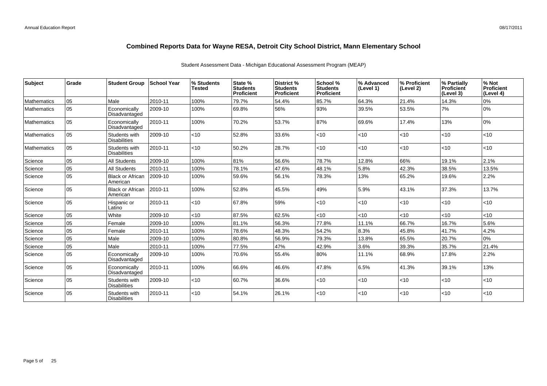| Subject            | Grade | <b>Student Group</b>                 | <b>School Year</b> | % Students<br><b>Tested</b> | State %<br><b>Students</b><br><b>Proficient</b> | District %<br><b>Students</b><br><b>Proficient</b> | School %<br><b>Students</b><br><b>Proficient</b> | % Advanced<br>(Level 1) | % Proficient<br>(Level 2) | % Partially<br>Proficient<br>(Level 3) | % Not<br><b>Proficient</b><br>(Level 4) |
|--------------------|-------|--------------------------------------|--------------------|-----------------------------|-------------------------------------------------|----------------------------------------------------|--------------------------------------------------|-------------------------|---------------------------|----------------------------------------|-----------------------------------------|
| <b>Mathematics</b> | 05    | Male                                 | 2010-11            | 100%                        | 79.7%                                           | 54.4%                                              | 85.7%                                            | 64.3%                   | 21.4%                     | 14.3%                                  | 0%                                      |
| <b>Mathematics</b> | 05    | Economically<br>Disadvantaged        | 2009-10            | 100%                        | 69.8%                                           | 56%                                                | 93%                                              | 39.5%                   | 53.5%                     | 7%                                     | 0%                                      |
| Mathematics        | 05    | Economically<br>Disadvantaged        | 2010-11            | 100%                        | 70.2%                                           | 53.7%                                              | 87%                                              | 69.6%                   | 17.4%                     | 13%                                    | 0%                                      |
| <b>Mathematics</b> | 05    | Students with<br><b>Disabilities</b> | 2009-10            | $<$ 10                      | 52.8%                                           | 33.6%                                              | $<$ 10                                           | < 10                    | $<$ 10                    | $ $ < 10                               | <10                                     |
| <b>Mathematics</b> | 05    | Students with<br><b>Disabilities</b> | 2010-11            | $<$ 10                      | 50.2%                                           | 28.7%                                              | $<$ 10                                           | < 10                    | $<$ 10                    | $ $ < 10                               | <10                                     |
| Science            | lo5   | <b>All Students</b>                  | 2009-10            | 100%                        | 81%                                             | 56.6%                                              | 78.7%                                            | 12.8%                   | 66%                       | 19.1%                                  | 2.1%                                    |
| Science            | 05    | <b>All Students</b>                  | 2010-11            | 100%                        | 78.1%                                           | 47.6%                                              | 48.1%                                            | 5.8%                    | 42.3%                     | 38.5%                                  | 13.5%                                   |
| Science            | 05    | <b>Black or African</b><br>American  | 2009-10            | 100%                        | 59.6%                                           | 56.1%                                              | 78.3%                                            | 13%                     | 65.2%                     | 19.6%                                  | 2.2%                                    |
| Science            | 05    | <b>Black or African</b><br>American  | 2010-11            | 100%                        | 52.8%                                           | 45.5%                                              | 49%                                              | 5.9%                    | 43.1%                     | 37.3%                                  | 13.7%                                   |
| Science            | 05    | Hispanic or<br>Latino                | 2010-11            | $<$ 10                      | 67.8%                                           | 59%                                                | $<$ 10                                           | < 10                    | <10                       | $ $ < 10                               | $<$ 10                                  |
| Science            | 05    | White                                | 2009-10            | < 10                        | 87.5%                                           | 62.5%                                              | $<$ 10                                           | < 10                    | <10                       | < 10                                   | <10                                     |
| Science            | 05    | Female                               | 2009-10            | 100%                        | 81.1%                                           | 56.3%                                              | 77.8%                                            | 11.1%                   | 66.7%                     | 16.7%                                  | 5.6%                                    |
| Science            | 05    | Female                               | 2010-11            | 100%                        | 78.6%                                           | 48.3%                                              | 54.2%                                            | 8.3%                    | 45.8%                     | 41.7%                                  | 4.2%                                    |
| Science            | 05    | Male                                 | 2009-10            | 100%                        | 80.8%                                           | 56.9%                                              | 79.3%                                            | 13.8%                   | 65.5%                     | 20.7%                                  | 0%                                      |
| Science            | 05    | Male                                 | 2010-11            | 100%                        | 77.5%                                           | 47%                                                | 42.9%                                            | 3.6%                    | 39.3%                     | 35.7%                                  | 21.4%                                   |
| Science            | 05    | Economically<br>Disadvantaged        | 2009-10            | 100%                        | 70.6%                                           | 55.4%                                              | 80%                                              | 11.1%                   | 68.9%                     | 17.8%                                  | 2.2%                                    |
| Science            | 05    | Economically<br>Disadvantaged        | 2010-11            | 100%                        | 66.6%                                           | 46.6%                                              | 47.8%                                            | 6.5%                    | 41.3%                     | 39.1%                                  | 13%                                     |
| Science            | 05    | Students with<br><b>Disabilities</b> | 2009-10            | < 10                        | 60.7%                                           | 36.6%                                              | $<$ 10                                           | < 10                    | $<$ 10                    | $ $ < 10                               | <10                                     |
| Science            | 05    | Students with<br><b>Disabilities</b> | 2010-11            | <10                         | 54.1%                                           | 26.1%                                              | $<$ 10                                           | < 10                    | $<$ 10                    | $ $ < 10                               | <10                                     |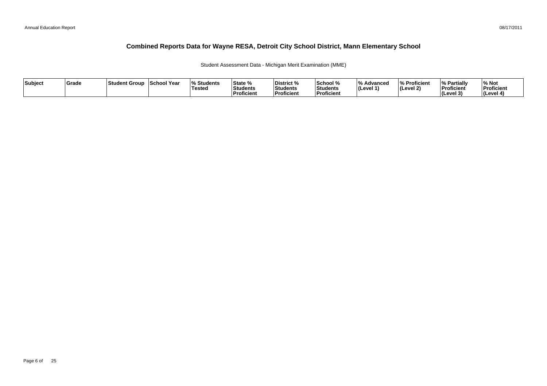Student Assessment Data - Michigan Merit Examination (MME)

| Subject | Grade | Student Group | <b>School Year</b> | <b>Students</b><br>Tested | State %<br>Students<br>Proficient | District %<br>Students<br><b>Proficient</b> | School %<br>Students<br>Proficient | $\overline{0}$<br>Advancec<br>$ $ (Level 1) | % Proficient<br> (Level 2) | % Partially<br>Proficient<br><b>I</b> Cevel 3<br>. . | 6 Not<br>Proficient<br>(Level 4) |
|---------|-------|---------------|--------------------|---------------------------|-----------------------------------|---------------------------------------------|------------------------------------|---------------------------------------------|----------------------------|------------------------------------------------------|----------------------------------|
|---------|-------|---------------|--------------------|---------------------------|-----------------------------------|---------------------------------------------|------------------------------------|---------------------------------------------|----------------------------|------------------------------------------------------|----------------------------------|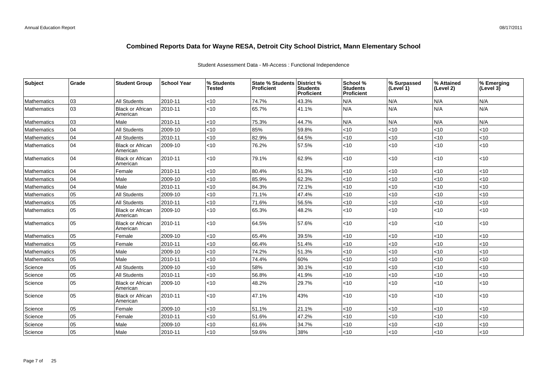### Student Assessment Data - MI-Access : Functional Independence

| Subject            | Grade | <b>Student Group</b>                | <b>School Year</b> | % Students<br>Tested | <b>State % Students</b><br>Proficient | District %<br><b>Students</b><br>Proficient | School %<br>Students<br>Proficient | % Surpassed<br>(Level 1) | % Attained<br>(Level 2) | % Emerging<br>(Level 3) |
|--------------------|-------|-------------------------------------|--------------------|----------------------|---------------------------------------|---------------------------------------------|------------------------------------|--------------------------|-------------------------|-------------------------|
| Mathematics        | 03    | All Students                        | 2010-11            | <10                  | 74.7%                                 | 43.3%                                       | N/A                                | N/A                      | N/A                     | N/A                     |
| Mathematics        | 03    | <b>Black or African</b><br>American | 2010-11            | <10                  | 65.7%                                 | 41.1%                                       | N/A                                | N/A                      | N/A                     | N/A                     |
| Mathematics        | 03    | Male                                | 2010-11            | <10                  | 75.3%                                 | 44.7%                                       | N/A                                | N/A                      | N/A                     | N/A                     |
| Mathematics        | 04    | <b>All Students</b>                 | 2009-10            | $<$ 10               | 85%                                   | 59.8%                                       | <10                                | <10                      | < 10                    | < 10                    |
| <b>Mathematics</b> | 04    | All Students                        | 2010-11            | $<$ 10               | 82.9%                                 | 64.5%                                       | $<$ 10                             | <10                      | < 10                    | $<$ 10                  |
| Mathematics        | 04    | <b>Black or African</b><br>American | 2009-10            | <10                  | 76.2%                                 | 57.5%                                       | < 10                               | <10                      | < 10                    | < 10                    |
| Mathematics        | 04    | <b>Black or African</b><br>American | 2010-11            | <10                  | 79.1%                                 | 62.9%                                       | <10                                | <10                      | $<10$                   | $<$ 10                  |
| Mathematics        | 04    | Female                              | 2010-11            | $<$ 10               | 80.4%                                 | 51.3%                                       | <10                                | <10                      | < 10                    | < 10                    |
| Mathematics        | 04    | Male                                | 2009-10            | <10                  | 85.9%                                 | 62.3%                                       | <10                                | <10                      | < 10                    | < 10                    |
| <b>Mathematics</b> | 04    | Male                                | 2010-11            | <10                  | 84.3%                                 | 72.1%                                       | <10                                | <10                      | <10                     | $<$ 10                  |
| Mathematics        | 05    | <b>All Students</b>                 | 2009-10            | <10                  | 71.1%                                 | 47.4%                                       | <10                                | <10                      | < 10                    | < 10                    |
| Mathematics        | 05    | <b>All Students</b>                 | 2010-11            | <10                  | 71.6%                                 | 56.5%                                       | <10                                | <10                      | <10                     | < 10                    |
| Mathematics        | 05    | <b>Black or African</b><br>American | 2009-10            | $<$ 10               | 65.3%                                 | 48.2%                                       | $<$ 10                             | <10                      | < 10                    | $<$ 10                  |
| Mathematics        | 05    | <b>Black or African</b><br>American | 2010-11            | <10                  | 64.5%                                 | 57.6%                                       | <10                                | <10                      | <10                     | $<$ 10                  |
| Mathematics        | 05    | Female                              | 2009-10            | $<$ 10               | 65.4%                                 | 39.5%                                       | <10                                | <10                      | < 10                    | < 10                    |
| Mathematics        | 05    | Female                              | 2010-11            | <10                  | 66.4%                                 | 51.4%                                       | <10                                | <10                      | <10                     | <10                     |
| Mathematics        | 05    | Male                                | 2009-10            | $<$ 10               | 74.2%                                 | 51.3%                                       | <10                                | <10                      | < 10                    | $<$ 10                  |
| Mathematics        | 05    | Male                                | 2010-11            | <10                  | 74.4%                                 | 60%                                         | <10                                | <10                      | < 10                    | < 10                    |
| Science            | 05    | All Students                        | 2009-10            | $<$ 10               | 58%                                   | 30.1%                                       | <10                                | <10                      | < 10                    | < 10                    |
| Science            | 05    | <b>All Students</b>                 | 2010-11            | $<$ 10               | 56.8%                                 | 41.9%                                       | <10                                | <10                      | < 10                    | < 10                    |
| Science            | 05    | <b>Black or African</b><br>American | 2009-10            | $<$ 10               | 48.2%                                 | 29.7%                                       | <10                                | <10                      | < 10                    | < 10                    |
| Science            | 05    | <b>Black or African</b><br>American | 2010-11            | <10                  | 47.1%                                 | 43%                                         | <10                                | <10                      | < 10                    | < 10                    |
| Science            | 05    | Female                              | 2009-10            | <10                  | 51.1%                                 | 21.1%                                       | <10                                | <10                      | < 10                    | < 10                    |
| Science            | 05    | Female                              | 2010-11            | <10                  | 51.6%                                 | 47.2%                                       | $<$ 10                             | <10                      | < 10                    | < 10                    |
| Science            | 05    | Male                                | 2009-10            | <10                  | 61.6%                                 | 34.7%                                       | <10                                | <10                      | < 10                    | <10                     |
| Science            | 05    | Male                                | 2010-11            | $<$ 10               | 59.6%                                 | 38%                                         | <10                                | <10                      | < 10                    | < 10                    |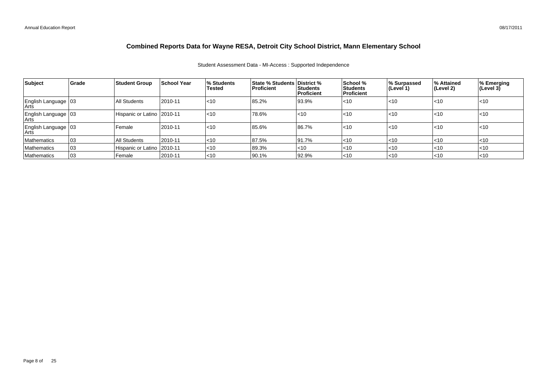### Student Assessment Data - MI-Access : Supported Independence

| <b>Subject</b>                  | Grade | Student Group                | <b>School Year</b> | I% Students<br>Tested | <b>State % Students District %</b><br><b>Proficient</b> | Students<br>Proficient | School %<br>Students<br><b>Proficient</b> | % Surpassed<br>(Level 1) | ∣% Attained<br>∣(Level 2) | % Emerging<br>(Level 3) |
|---------------------------------|-------|------------------------------|--------------------|-----------------------|---------------------------------------------------------|------------------------|-------------------------------------------|--------------------------|---------------------------|-------------------------|
| English Language 103<br>Arts    |       | All Students                 | 2010-11            | $ $ < 10              | 85.2%                                                   | 93.9%                  | $<$ 10                                    | < 10                     | <10                       | $ $ < 10                |
| English Language   03<br>  Arts |       | Hispanic or Latino   2010-11 |                    | $ $ < 10              | 78.6%                                                   | $\leq 10$              | $<$ 10                                    | $<$ 10                   | l<10                      | l<10                    |
| English Language 03<br>Arts     |       | l Female                     | 2010-11            | $ $ < 10              | 85.6%                                                   | 86.7%                  | $<$ 10                                    | $<$ 10                   | l<10                      | l<10                    |
| Mathematics                     | 103   | All Students                 | 2010-11            | $<$ 10                | 87.5%                                                   | 191.7%                 | $<$ 10                                    | $<$ 10                   | l<10                      | l<10                    |
| Mathematics                     | 03    | Hispanic or Latino   2010-11 |                    | < 10                  | 89.3%                                                   | $\leq 10$              | $<$ 10                                    | $<$ 10                   | $ $ <10                   | l<10                    |
| Mathematics                     | 03    | l Female                     | 2010-11            | < 10                  | 90.1%                                                   | 92.9%                  | $<$ 10                                    | $ $ < 10                 | l<10                      | $ $ <10                 |

#### 08/17/2011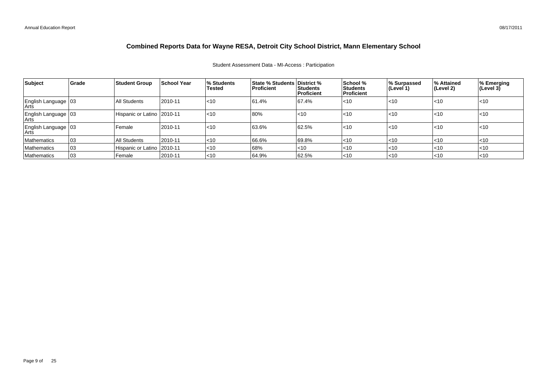### Student Assessment Data - MI-Access : Participation

| Subject                         | Grade | <b>Student Group</b>         | <b>School Year</b> | I% Students<br><b>Tested</b> | <b>State % Students District %</b><br>Proficient | Students<br><b>Proficient</b> | School %<br><b>Students</b><br><b>Proficient</b> | % Surpassed<br>(Level 1) | ∣% Attained<br>(Level 2) | % Emerging<br>(Level 3) |
|---------------------------------|-------|------------------------------|--------------------|------------------------------|--------------------------------------------------|-------------------------------|--------------------------------------------------|--------------------------|--------------------------|-------------------------|
| English Language   03<br>Arts   |       | All Students                 | 2010-11            | $\leq 10$                    | 61.4%                                            | 67.4%                         | $\leq 10$                                        | < 10                     | $ $ < 10                 | $ $ <10                 |
| English Language   03<br>  Arts |       | Hispanic or Latino   2010-11 |                    | $\leq 10$                    | 80%                                              | $ $ <10                       | $\leq 10$                                        | $<$ 10                   | l<10                     | l<10                    |
| English Language   03<br>∣Arts  |       | Female                       | 2010-11            | $\leq 10$                    | 63.6%                                            | 62.5%                         | $\leq 10$                                        | < 10                     | $ $ < 10                 | $ $ <10                 |
| <b>Mathematics</b>              | 03    | All Students                 | 2010-11            | $<$ 10                       | 66.6%                                            | 69.8%                         | $\leq 10$                                        | $ $ < 10                 | $ $ < 10                 | $\mathsf{I}$ <10        |
| Mathematics                     | 03    | Hispanic or Latino   2010-11 |                    | ~10                          | 68%                                              | $ $ <10                       | $\leq 10$                                        | $ $ < 10                 | $ $ < 10                 | $\mathsf{I}$ <10        |
| Mathematics                     | 103   | Female                       | 2010-11            | $ $ < 10                     | 64.9%                                            | 62.5%                         | $\leq 10$                                        | $ $ < 10                 | $ $ < 10                 | $\leq 10$               |

08/17/2011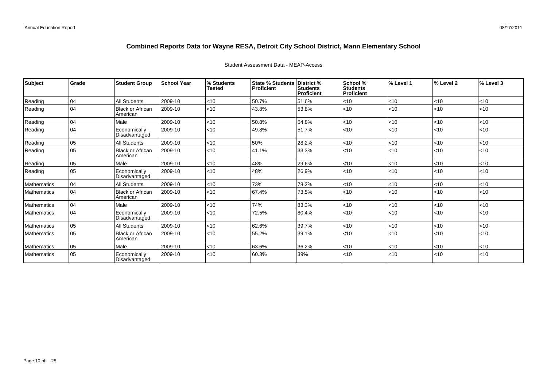| Subject            | Grade | <b>Student Group</b>           | <b>School Year</b> | % Students<br>Tested | State % Students   District %<br>Proficient | <b>Students</b><br>Proficient | School %<br><b>Students</b><br><b>Proficient</b> | % Level 1 | % Level 2 | % Level 3 |
|--------------------|-------|--------------------------------|--------------------|----------------------|---------------------------------------------|-------------------------------|--------------------------------------------------|-----------|-----------|-----------|
| Reading            | 04    | <b>All Students</b>            | 2009-10            | <10                  | 50.7%                                       | 51.6%                         | < 10                                             | < 10      | $ $ < 10  | <10       |
| Reading            | 04    | Black or African<br>American   | 2009-10            | < 10                 | 43.8%                                       | 53.8%                         | <10                                              | $ $ < 10  | $ $ <10   | < 10      |
| Reading            | 04    | Male                           | 2009-10            | < 10                 | 50.8%                                       | 54.8%                         | $<$ 10                                           | < 10      | $ $ <10   | < 10      |
| Reading            | 04    | Economically<br>Disadvantaged  | 2009-10            | < 10                 | 49.8%                                       | 51.7%                         | $<$ 10                                           | $ $ < 10  | $ $ < 10  | < 10      |
| Reading            | 05    | All Students                   | 2009-10            | < 10                 | 50%                                         | 28.2%                         | $<$ 10                                           | < 10      | $ $ < 10  | $<$ 10    |
| Reading            | 05    | Black or African<br>American   | 2009-10            | < 10                 | 41.1%                                       | 33.3%                         | < 10                                             | $ $ < 10  | $ $ < 10  | < 10      |
| Reading            | 05    | Male                           | 2009-10            | < 10                 | 48%                                         | 29.6%                         | <10                                              | < 10      | l<10      | < 10      |
| Reading            | 05    | Economically<br>Disadvantaged  | 2009-10            | < 10                 | 48%                                         | 26.9%                         | < 10                                             | $ $ < 10  | l<10      | < 10      |
| <b>Mathematics</b> | 04    | All Students                   | 2009-10            | $<$ 10               | 73%                                         | 78.2%                         | $<$ 10                                           | < 10      | $ $ < 10  | <10       |
| Mathematics        | 104   | l Black or African<br>American | 2009-10            | < 10                 | 67.4%                                       | 73.5%                         | <10                                              | $ $ < 10  | l<10      | < 10      |
| Mathematics        | 04    | Male                           | 2009-10            | < 10                 | 74%                                         | 83.3%                         | $<$ 10                                           | < 10      | $ $ <10   | $<$ 10    |
| Mathematics        | 04    | Economically<br>Disadvantaged  | 2009-10            | < 10                 | 72.5%                                       | 80.4%                         | < 10                                             | $ $ < 10  | l<10      | < 10      |
| <b>Mathematics</b> | 05    | All Students                   | 2009-10            | < 10                 | 62.6%                                       | 39.7%                         | <10                                              | < 10      | < 10      | <10       |
| Mathematics        | 05    | l Black or African<br>American | 2009-10            | < 10                 | 55.2%                                       | 39.1%                         | <10                                              | $ $ < 10  | <10       | < 10      |
| <b>Mathematics</b> | 05    | Male                           | 2009-10            | < 10                 | 63.6%                                       | 36.2%                         | $<$ 10                                           | < 10      | l<10      | < 10      |
| Mathematics        | 05    | Economically<br>Disadvantaged  | 2009-10            | $<$ 10               | 60.3%                                       | 39%                           | < 10                                             | $ $ < 10  | <10       | <10       |

### Student Assessment Data - MEAP-Access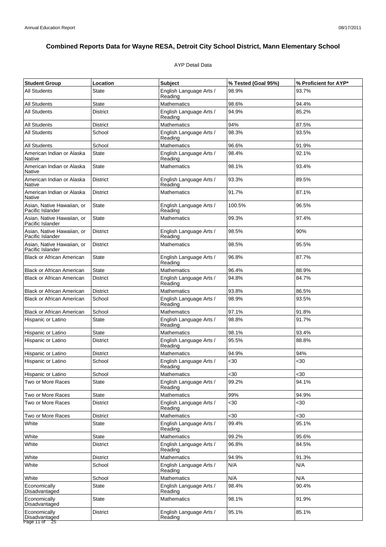### AYP Detail Data

| <b>Student Group</b>                                        | Location        | <b>Subject</b>                     | % Tested (Goal 95%) | % Proficient for AYP* |
|-------------------------------------------------------------|-----------------|------------------------------------|---------------------|-----------------------|
| <b>All Students</b>                                         | State           | English Language Arts /<br>Reading | 98.9%               | 93.7%                 |
| <b>All Students</b>                                         | <b>State</b>    | <b>Mathematics</b>                 | 98.6%               | 94.4%                 |
| <b>All Students</b>                                         | <b>District</b> | English Language Arts /<br>Reading | 94.9%               | 85.2%                 |
| <b>All Students</b>                                         | District        | <b>Mathematics</b>                 | 94%                 | 87.5%                 |
| <b>All Students</b>                                         | School          | English Language Arts /<br>Reading | 98.3%               | 93.5%                 |
| <b>All Students</b>                                         | School          | Mathematics                        | 96.6%               | 91.9%                 |
| American Indian or Alaska<br>Native                         | <b>State</b>    | English Language Arts /<br>Reading | 98.4%               | 92.1%                 |
| American Indian or Alaska<br><b>Native</b>                  | <b>State</b>    | <b>Mathematics</b>                 | 98.1%               | 93.4%                 |
| American Indian or Alaska<br>Native                         | <b>District</b> | English Language Arts /<br>Reading | 93.3%               | 89.5%                 |
| American Indian or Alaska<br>Native                         | <b>District</b> | <b>Mathematics</b>                 | 91.7%               | 87.1%                 |
| Asian, Native Hawaiian, or<br>Pacific Islander              | <b>State</b>    | English Language Arts /<br>Reading | 100.5%              | 96.5%                 |
| Asian, Native Hawaiian, or<br>Pacific Islander              | State           | <b>Mathematics</b>                 | 99.3%               | 97.4%                 |
| Asian, Native Hawaiian, or<br>Pacific Islander              | <b>District</b> | English Language Arts /<br>Reading | 98.5%               | 90%                   |
| Asian. Native Hawaiian, or<br>Pacific Islander              | <b>District</b> | <b>Mathematics</b>                 | 98.5%               | 95.5%                 |
| <b>Black or African American</b>                            | State           | English Language Arts /<br>Reading | 96.8%               | 87.7%                 |
| <b>Black or African American</b>                            | <b>State</b>    | <b>Mathematics</b>                 | 96.4%               | 88.9%                 |
| <b>Black or African American</b>                            | <b>District</b> | English Language Arts /<br>Reading | 94.8%               | 84.7%                 |
| <b>Black or African American</b>                            | <b>District</b> | <b>Mathematics</b>                 | 93.8%               | 86.5%                 |
| <b>Black or African American</b>                            | School          | English Language Arts /<br>Reading | 98.9%               | 93.5%                 |
| <b>Black or African American</b>                            | School          | <b>Mathematics</b>                 | 97.1%               | 91.8%                 |
| Hispanic or Latino                                          | State           | English Language Arts /<br>Reading | 98.8%               | 91.7%                 |
| Hispanic or Latino                                          | <b>State</b>    | <b>Mathematics</b>                 | 98.1%               | 93.4%                 |
| Hispanic or Latino                                          | District        | English Language Arts /<br>Reading | 95.5%               | 88.8%                 |
| Hispanic or Latino                                          | District        | <b>Mathematics</b>                 | 94.9%               | 94%                   |
| Hispanic or Latino                                          | School          | English Language Arts /<br>Reading | $30$                | $30$                  |
| Hispanic or Latino                                          | School          | <b>Mathematics</b>                 | $30$                | $30$                  |
| Two or More Races                                           | State           | English Language Arts /<br>Reading | 99.2%               | 94.1%                 |
| Two or More Races                                           | State           | <b>Mathematics</b>                 | 99%                 | 94.9%                 |
| Two or More Races                                           | <b>District</b> | English Language Arts /<br>Reading | <30                 | <30                   |
| Two or More Races                                           | <b>District</b> | <b>Mathematics</b>                 | $30$                | <30                   |
| White                                                       | <b>State</b>    | English Language Arts /<br>Reading | 99.4%               | 95.1%                 |
| White                                                       | State           | <b>Mathematics</b>                 | 99.2%               | 95.6%                 |
| White                                                       | <b>District</b> | English Language Arts /<br>Reading | 96.8%               | 84.5%                 |
| White                                                       | <b>District</b> | <b>Mathematics</b>                 | 94.9%               | 91.3%                 |
| White                                                       | School          | English Language Arts /<br>Reading | N/A                 | N/A                   |
| White                                                       | School          | <b>Mathematics</b>                 | N/A                 | N/A                   |
| Economically<br>Disadvantaged                               | <b>State</b>    | English Language Arts /<br>Reading | 98.4%               | 90.4%                 |
| Economically<br>Disadvantaged                               | State           | <b>Mathematics</b>                 | 98.1%               | 91.9%                 |
| Economically<br>Disadvantaged<br>Page 11 of $\overline{25}$ | <b>District</b> | English Language Arts /<br>Reading | 95.1%               | 85.1%                 |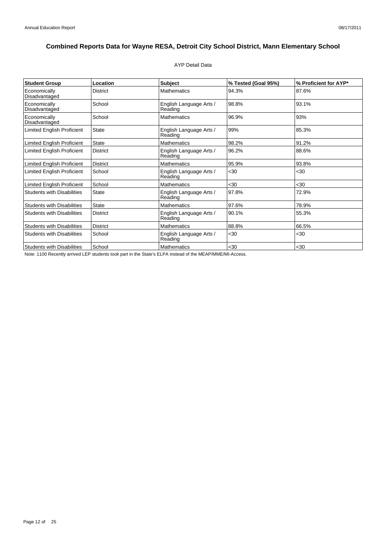### AYP Detail Data

| <b>Student Group</b>              | Location        | <b>Subject</b>                     | % Tested (Goal 95%) | % Proficient for AYP* |
|-----------------------------------|-----------------|------------------------------------|---------------------|-----------------------|
| Economically<br>Disadvantaged     | <b>District</b> | <b>Mathematics</b>                 | 94.3%               | 87.6%                 |
| Economically<br>Disadvantaged     | School          | English Language Arts /<br>Reading | 98.8%               | 93.1%                 |
| Economically<br>Disadvantaged     | School          | <b>Mathematics</b>                 | 96.9%               | 93%                   |
| <b>Limited English Proficient</b> | <b>State</b>    | English Language Arts /<br>Reading | 99%                 | 85.3%                 |
| <b>Limited English Proficient</b> | <b>State</b>    | Mathematics                        | 98.2%               | 91.2%                 |
| <b>Limited English Proficient</b> | <b>District</b> | English Language Arts /<br>Reading | 96.2%               | 88.6%                 |
| <b>Limited English Proficient</b> | <b>District</b> | <b>Mathematics</b>                 | 95.9%               | 93.8%                 |
| Limited English Proficient        | School          | English Language Arts /<br>Reading | $30$                | $30$                  |
| <b>Limited English Proficient</b> | School          | <b>Mathematics</b>                 | $30$                | $30$                  |
| <b>Students with Disabilities</b> | <b>State</b>    | English Language Arts /<br>Reading | 97.8%               | 72.9%                 |
| <b>Students with Disabilities</b> | <b>State</b>    | <b>Mathematics</b>                 | 97.6%               | 78.9%                 |
| <b>Students with Disabilities</b> | <b>District</b> | English Language Arts /<br>Reading | 90.1%               | 55.3%                 |
| <b>Students with Disabilities</b> | <b>District</b> | <b>Mathematics</b>                 | 88.8%               | 66.5%                 |
| <b>Students with Disabilities</b> | School          | English Language Arts /<br>Reading | $30$                | $30$                  |
| <b>Students with Disabilities</b> | School          | <b>Mathematics</b>                 | $30$                | $30$                  |

Note: 1100 Recently arrived LEP students took part in the State's ELPA instead of the MEAP/MME/MI-Access.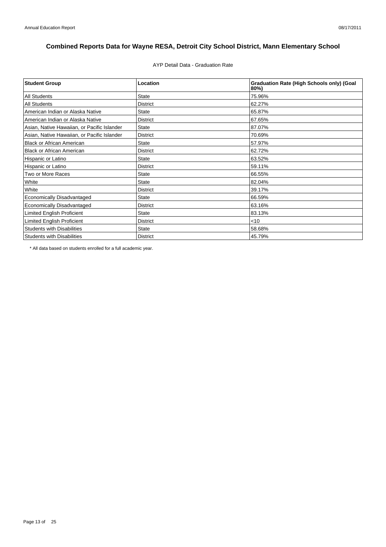AYP Detail Data - Graduation Rate

| <b>Student Group</b>                        | Location        | <b>Graduation Rate (High Schools only) (Goal</b><br>80%) |
|---------------------------------------------|-----------------|----------------------------------------------------------|
| <b>All Students</b>                         | <b>State</b>    | 75.96%                                                   |
| <b>All Students</b>                         | <b>District</b> | 62.27%                                                   |
| American Indian or Alaska Native            | <b>State</b>    | 65.87%                                                   |
| American Indian or Alaska Native            | <b>District</b> | 67.65%                                                   |
| Asian, Native Hawaiian, or Pacific Islander | <b>State</b>    | 87.07%                                                   |
| Asian, Native Hawaiian, or Pacific Islander | <b>District</b> | 70.69%                                                   |
| <b>Black or African American</b>            | <b>State</b>    | 57.97%                                                   |
| <b>Black or African American</b>            | <b>District</b> | 62.72%                                                   |
| Hispanic or Latino                          | <b>State</b>    | 63.52%                                                   |
| Hispanic or Latino                          | <b>District</b> | 59.11%                                                   |
| Two or More Races                           | <b>State</b>    | 66.55%                                                   |
| White                                       | <b>State</b>    | 82.04%                                                   |
| White                                       | <b>District</b> | 39.17%                                                   |
| Economically Disadvantaged                  | <b>State</b>    | 66.59%                                                   |
| Economically Disadvantaged                  | <b>District</b> | 63.16%                                                   |
| <b>Limited English Proficient</b>           | <b>State</b>    | 83.13%                                                   |
| Limited English Proficient                  | <b>District</b> | $<$ 10                                                   |
| <b>Students with Disabilities</b>           | <b>State</b>    | 58.68%                                                   |
| <b>Students with Disabilities</b>           | <b>District</b> | 45.79%                                                   |

\* All data based on students enrolled for a full academic year.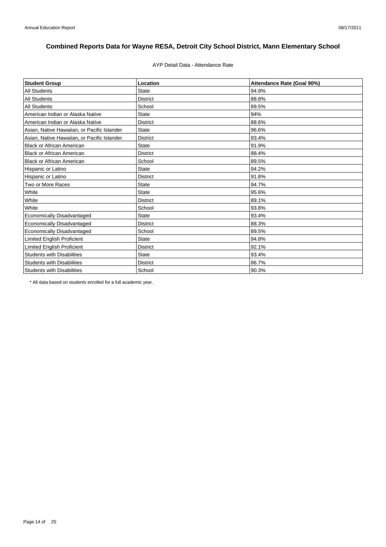### AYP Detail Data - Attendance Rate

| <b>Student Group</b>                        | Location        | Attendance Rate (Goal 90%) |
|---------------------------------------------|-----------------|----------------------------|
| <b>All Students</b>                         | <b>State</b>    | 94.9%                      |
| <b>All Students</b>                         | <b>District</b> | 88.8%                      |
| <b>All Students</b>                         | School          | 89.5%                      |
| American Indian or Alaska Native            | <b>State</b>    | 94%                        |
| American Indian or Alaska Native            | <b>District</b> | 88.6%                      |
| Asian, Native Hawaiian, or Pacific Islander | <b>State</b>    | 96.6%                      |
| Asian, Native Hawaiian, or Pacific Islander | <b>District</b> | 93.4%                      |
| <b>Black or African American</b>            | <b>State</b>    | 91.9%                      |
| <b>Black or African American</b>            | <b>District</b> | 88.4%                      |
| <b>Black or African American</b>            | School          | 89.5%                      |
| Hispanic or Latino                          | <b>State</b>    | 94.2%                      |
| Hispanic or Latino                          | <b>District</b> | 91.8%                      |
| Two or More Races                           | <b>State</b>    | 94.7%                      |
| White                                       | <b>State</b>    | 95.6%                      |
| White                                       | <b>District</b> | 89.1%                      |
| White                                       | School          | 93.8%                      |
| Economically Disadvantaged                  | <b>State</b>    | 93.4%                      |
| Economically Disadvantaged                  | <b>District</b> | 88.3%                      |
| Economically Disadvantaged                  | School          | 89.5%                      |
| <b>Limited English Proficient</b>           | <b>State</b>    | 94.8%                      |
| <b>Limited English Proficient</b>           | <b>District</b> | 92.1%                      |
| <b>Students with Disabilities</b>           | <b>State</b>    | 93.4%                      |
| <b>Students with Disabilities</b>           | <b>District</b> | 86.7%                      |
| <b>Students with Disabilities</b>           | School          | 90.3%                      |

\* All data based on students enrolled for a full academic year.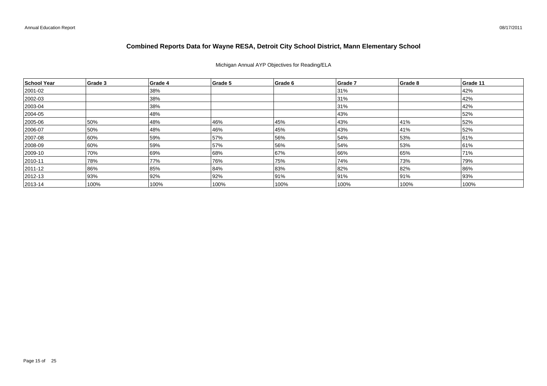### Michigan Annual AYP Objectives for Reading/ELA

| School Year  | Grade 3 | Grade 4 | Grade 5 | Grade 6 | Grade 7 | Grade 8 | Grade 11 |
|--------------|---------|---------|---------|---------|---------|---------|----------|
| 2001-02      |         | 38%     |         |         | 31%     |         | 42%      |
| 2002-03      |         | 38%     |         |         | 31%     |         | 42%      |
| $ 2003 - 04$ |         | 38%     |         |         | 31%     |         | 42%      |
| 2004-05      |         | 48%     |         |         | 43%     |         | 52%      |
| 2005-06      | 50%     | 48%     | 46%     | 45%     | 43%     | 41%     | 52%      |
| 2006-07      | 50%     | 48%     | 46%     | 45%     | 43%     | 41%     | 52%      |
| 2007-08      | 60%     | 59%     | 57%     | 56%     | 54%     | 53%     | 61%      |
| 2008-09      | 60%     | 59%     | 57%     | 56%     | 54%     | 53%     | 61%      |
| 2009-10      | 70%     | 69%     | 68%     | 67%     | 66%     | 65%     | 71%      |
| $ 2010 - 11$ | 78%     | 77%     | 76%     | 75%     | 74%     | 73%     | 79%      |
| 2011-12      | 86%     | 85%     | 84%     | 83%     | 82%     | 82%     | 86%      |
| 2012-13      | 93%     | 92%     | 92%     | 91%     | 91%     | 91%     | 93%      |
| $ 2013 - 14$ | 100%    | 100%    | 100%    | 100%    | 100%    | 100%    | 100%     |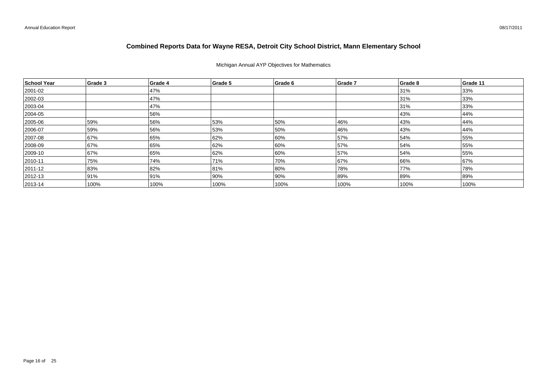### Michigan Annual AYP Objectives for Mathematics

| School Year  | Grade 3 | Grade 4 | Grade 5 | Grade 6 | Grade 7 | Grade 8 | Grade 11 |
|--------------|---------|---------|---------|---------|---------|---------|----------|
| 2001-02      |         | 47%     |         |         |         | 31%     | 33%      |
| 2002-03      |         | 47%     |         |         |         | 31%     | 33%      |
| $ 2003 - 04$ |         | 47%     |         |         |         | 31%     | 33%      |
| 2004-05      |         | 56%     |         |         |         | 43%     | 44%      |
| 2005-06      | 59%     | 56%     | 53%     | 50%     | 46%     | 43%     | 44%      |
| 2006-07      | 59%     | 56%     | 53%     | 50%     | 46%     | 43%     | 44%      |
| 2007-08      | 67%     | 65%     | 62%     | 60%     | 57%     | 54%     | 55%      |
| 2008-09      | 67%     | 65%     | 62%     | 60%     | 57%     | 54%     | 55%      |
| 2009-10      | 67%     | 65%     | 62%     | 60%     | 57%     | 54%     | 55%      |
| $ 2010 - 11$ | 75%     | 74%     | 71%     | 70%     | 67%     | 66%     | 67%      |
| 2011-12      | 83%     | 82%     | 81%     | 80%     | 78%     | 77%     | 78%      |
| $ 2012 - 13$ | 91%     | 91%     | 90%     | 90%     | 89%     | 89%     | 89%      |
| $ 2013 - 14$ | 100%    | 100%    | 100%    | 100%    | 100%    | 100%    | 100%     |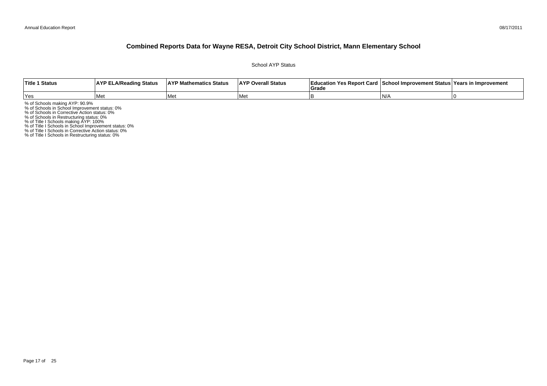#### 08/17/2011

### **Combined Reports Data for Wayne RESA, Detroit City School District, Mann Elementary School**

School AYP Status

| Title 1 Status | <b>AYP ELA/Reading Status</b> | <b>AYP Mathematics Status</b> | <b>AYP Overall Status</b> | াEducation Yes Report Card   School Improvement Status   Years in Improvement<br>Grade |     |  |
|----------------|-------------------------------|-------------------------------|---------------------------|----------------------------------------------------------------------------------------|-----|--|
| 'Yes           | 'Met                          | l Met                         | l Met                     |                                                                                        | IN/ |  |

% of Schools making AYP: 90.9%<br>% of Schools in School Improvement status: 0%<br>% of Schools in Corrective Action status: 0%<br>% of Schools in Restructuring status: 0%<br>% of Title I Schools in School Improvement status: 0%<br>% of

% of Title I Schools in Restructuring status: 0%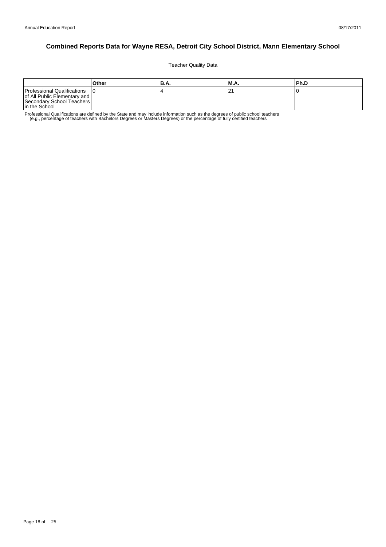Teacher Quality Data

|                                                                                                           | Other | 'B.A. | <b>M.A.</b> | l Ph.D |
|-----------------------------------------------------------------------------------------------------------|-------|-------|-------------|--------|
| Professional Qualifications<br>of All Public Elementary and<br>Secondary School Teachers<br>In the School |       |       | ∠           |        |

Professional Qualifications are defined by the State and may include information such as the degrees of public school teachers<br>e.g., percentage of teachers with Bachelors Degrees or Masters Degrees) or the percentage of fu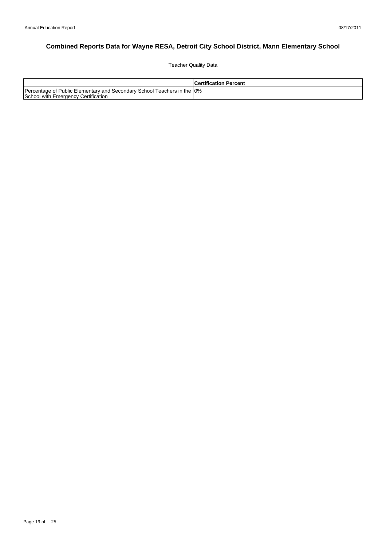Teacher Quality Data

|                                                                                                                 | l Certification Percent |
|-----------------------------------------------------------------------------------------------------------------|-------------------------|
| Percentage of Public Elementary and Secondary School Teachers in the 10%<br>School with Emergency Certification |                         |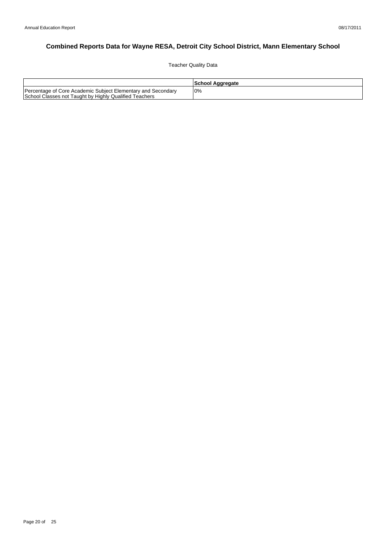Teacher Quality Data

|                                                                                                                        | School Aggregate |
|------------------------------------------------------------------------------------------------------------------------|------------------|
| Percentage of Core Academic Subject Elementary and Secondary<br>School Classes not Taught by Highly Qualified Teachers | 10%              |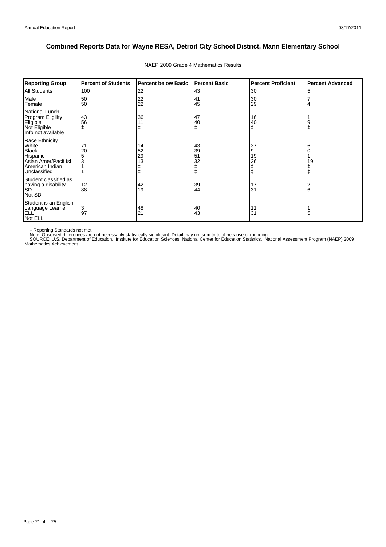| <b>Reporting Group</b>                                                                                         | <b>Percent of Students</b> | <b>Percent below Basic</b> | <b>Percent Basic</b> | <b>Percent Proficient</b> | <b>Percent Advanced</b> |
|----------------------------------------------------------------------------------------------------------------|----------------------------|----------------------------|----------------------|---------------------------|-------------------------|
| <b>All Students</b>                                                                                            | 100                        | 22                         | 43                   | 30                        | 5                       |
| Male<br>Female                                                                                                 | 50<br>50                   | 22<br>22                   | 41<br>45             | 30<br>29                  | 4                       |
| National Lunch<br><b>Program Eligility</b><br>Eligible<br>Not Eligible<br>Info not available                   | 43<br>56                   | 36                         | 47<br>40<br>ŧ        | 16<br>40<br>$\ddagger$    | 9                       |
| Race Ethnicity<br>White<br><b>Black</b><br>Hispanic<br>Asian Amer/Pacif Isl<br>American Indian<br>Unclassified | 71<br>20                   | 14<br>52<br>29<br>13       | 43<br>39<br>51<br>32 | 37<br>.9<br>19<br>36      | 6<br>19                 |
| Student classified as<br>having a disability<br><b>SD</b><br>Not SD                                            | 12<br>88                   | 42<br>19                   | 39<br>44             | 17<br>31                  | 6                       |
| Student is an English<br>Language Learner<br>ELL <sup>'</sup><br>Not ELL                                       | 3<br>97                    | 48<br>21                   | 40<br>43             | 11<br>31                  | 5                       |

### NAEP 2009 Grade 4 Mathematics Results

‡ Reporting Standards not met.<br>Note: Observed differences are not necessarily statistically significant. Detail may not sum to total because of rounding.<br>SOURCE: U.S. Department of Education. Institute for Education Scien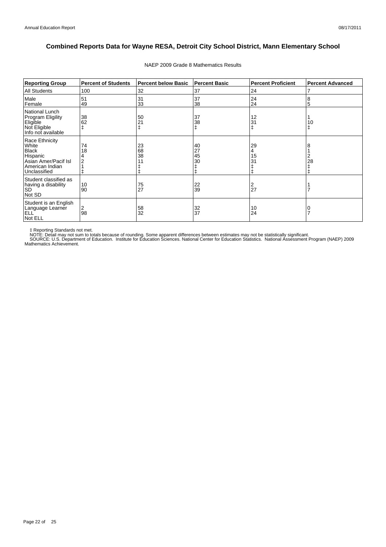| <b>Reporting Group</b>                                                                                         | <b>Percent of Students</b> | <b>Percent below Basic</b> | <b>Percent Basic</b> | <b>Percent Proficient</b> | <b>Percent Advanced</b> |
|----------------------------------------------------------------------------------------------------------------|----------------------------|----------------------------|----------------------|---------------------------|-------------------------|
| <b>All Students</b>                                                                                            | 100                        | 32                         | 37                   | 24                        | 7                       |
| Male<br>Female                                                                                                 | 51<br>49                   | 31<br>33                   | 37<br>38             | 24<br>24                  | 8<br>5                  |
| National Lunch<br><b>Program Eligility</b><br>Eligible<br>Not Eligible<br>Info not available                   | 38<br>62                   | 50<br>21                   | 37<br>38<br>ŧ        | 12<br>31                  | 10                      |
| Race Ethnicity<br>White<br><b>Black</b><br>Hispanic<br>Asian Amer/Pacif Isl<br>American Indian<br>Unclassified | 74<br>18                   | 23<br>68<br>38             | 40<br>27<br>45<br>30 | 29<br>4<br>15<br>31       | 8<br>2<br>28            |
| Student classified as<br>having a disability<br><b>SD</b><br>Not SD                                            | 10<br>90                   | 75<br>27                   | 22<br>39             | 27                        |                         |
| Student is an English<br>Language Learner<br>ELL <sup>'</sup><br>Not ELL                                       | 2<br>98                    | 58<br>32                   | 32<br>37             | 10<br>24                  | 7                       |

### NAEP 2009 Grade 8 Mathematics Results

‡ Reporting Standards not met.<br>NOTE: Detail may not sum to totals because of rounding. Some apparent differences between estimates may not be statistically significant.<br>NOTE: Detail may not sum to totals because of roundin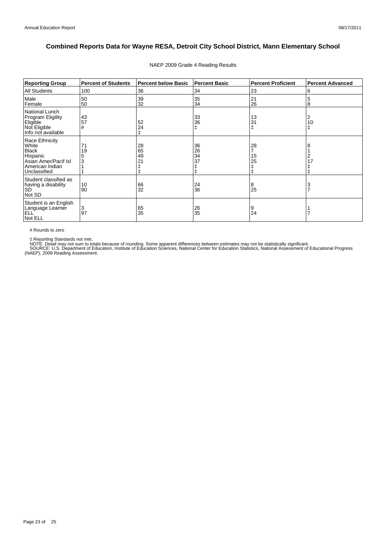| <b>Reporting Group</b>                                                                                         | <b>Percent of Students</b> | <b>Percent below Basic</b> | <b>Percent Basic</b> | <b>Percent Proficient</b> | <b>Percent Advanced</b> |
|----------------------------------------------------------------------------------------------------------------|----------------------------|----------------------------|----------------------|---------------------------|-------------------------|
| All Students                                                                                                   | 100                        | 36                         | 34                   | 23                        | 6                       |
| Male<br>Female                                                                                                 | 50<br>50                   | 39<br>32                   | 35<br>34             | 21<br>26                  | 5<br>8                  |
| National Lunch<br>Program Eligility<br>Eligible<br>Not Eligible<br>Info not available                          | 43<br>57<br>#              | 52<br>24                   | 33<br>36<br>ŧ        | 13<br>31                  | 2<br>10<br>ŧ            |
| Race Ethnicity<br>White<br><b>Black</b><br>Hispanic<br>Asian Amer/Pacif Isl<br>American Indian<br>Unclassified | 71<br>19<br>3              | 28<br>65<br>49<br>21       | 36<br>26<br>34<br>37 | 28<br>15<br>25            | 8<br>2<br>17            |
| Student classified as<br>having a disability<br><b>SD</b><br>Not SD                                            | 10<br>90                   | 66<br>32                   | 24<br>36             | 8<br>25                   | 3<br>$\overline{7}$     |
| Student is an English<br>Language Learner<br>ELL <sup>'</sup><br>Not ELL                                       | 3<br>97                    | 65<br>35                   | 26<br>35             | 9<br>24                   |                         |

### NAEP 2009 Grade 4 Reading Results

# Rounds to zero

‡ Reporting Standards not met.<br>NOTE: Detail may not sum to totals because of rounding. Some apparent differences between estimates may not be statistically significant.<br>SOURCE: U.S. Department of Education, Institute of Ed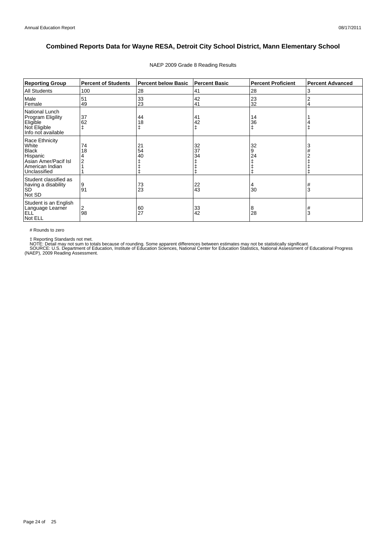| <b>Reporting Group</b>                                                                                         | <b>Percent of Students</b> | <b>Percent below Basic</b> | <b>Percent Basic</b> | <b>Percent Proficient</b> | <b>Percent Advanced</b> |
|----------------------------------------------------------------------------------------------------------------|----------------------------|----------------------------|----------------------|---------------------------|-------------------------|
| <b>All Students</b>                                                                                            | 100                        | 28                         | 41                   | 28                        | 3                       |
| Male<br>Female                                                                                                 | 51<br>49                   | 33<br>23                   | 42<br>41             | 23<br>32                  | 2<br>4                  |
| National Lunch<br>Program Eligility<br>Eligible<br>Not Eligible<br>Info not available                          | 37<br>62                   | 44<br>18<br>ŧ              | 41<br>42<br>ŧ        | 14<br>36<br>ŧ             |                         |
| Race Ethnicity<br>White<br><b>Black</b><br>Hispanic<br>Asian Amer/Pacif Isl<br>American Indian<br>Unclassified | 74<br>18                   | 21<br>54<br>40             | 32<br>37<br>34       | 32<br>9<br>24             | 3                       |
| Student classified as<br>having a disability<br><b>SD</b><br>Not SD                                            | 9<br>91                    | 73<br>23                   | 22<br>43             | 30                        | 3                       |
| Student is an English<br>Language Learner<br>ELL <sup>'</sup><br>Not ELL                                       | 2<br>98                    | 60<br>27                   | 33<br>42             | 8<br>28                   | 3                       |

### NAEP 2009 Grade 8 Reading Results

# Rounds to zero

‡ Reporting Standards not met.<br>NOTE: Detail may not sum to totals because of rounding. Some apparent differences between estimates may not be statistically significant.<br>SOURCE: U.S. Department of Education, Institute of Ed